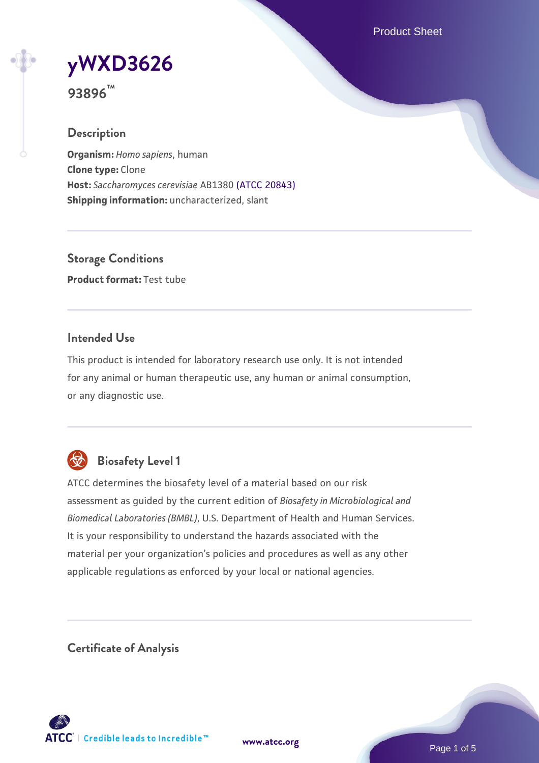Product Sheet

**[yWXD3626](https://www.atcc.org/products/93896)**

**93896™**

## **Description**

**Organism:** *Homo sapiens*, human **Clone type:** Clone **Host:** *Saccharomyces cerevisiae* AB1380 [\(ATCC 20843\)](https://www.atcc.org/products/20843) **Shipping information:** uncharacterized, slant

**Storage Conditions Product format:** Test tube

## **Intended Use**

This product is intended for laboratory research use only. It is not intended for any animal or human therapeutic use, any human or animal consumption, or any diagnostic use.



## **Biosafety Level 1**

ATCC determines the biosafety level of a material based on our risk assessment as guided by the current edition of *Biosafety in Microbiological and Biomedical Laboratories (BMBL)*, U.S. Department of Health and Human Services. It is your responsibility to understand the hazards associated with the material per your organization's policies and procedures as well as any other applicable regulations as enforced by your local or national agencies.

**Certificate of Analysis**

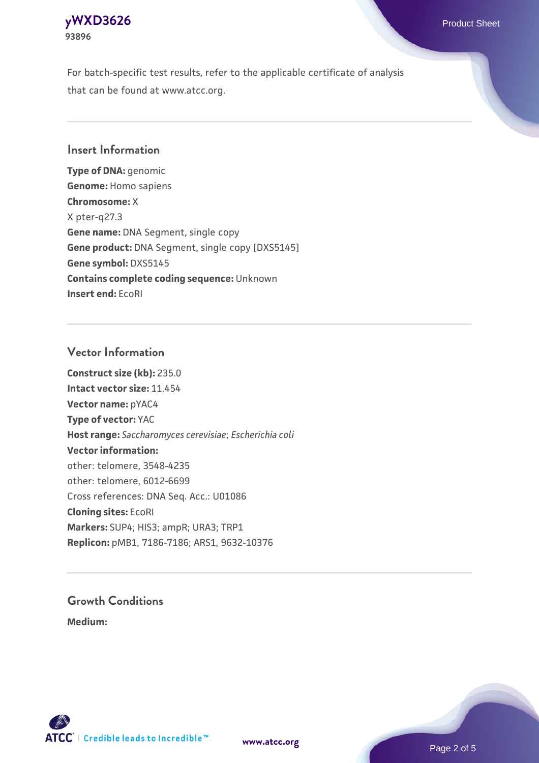## **[yWXD3626](https://www.atcc.org/products/93896)** Product Sheet **93896**

For batch-specific test results, refer to the applicable certificate of analysis that can be found at www.atcc.org.

## **Insert Information**

**Type of DNA:** genomic **Genome:** Homo sapiens **Chromosome:** X X pter-q27.3 **Gene name:** DNA Segment, single copy **Gene product:** DNA Segment, single copy [DXS5145] **Gene symbol:** DXS5145 **Contains complete coding sequence:** Unknown **Insert end:** EcoRI

## **Vector Information**

**Construct size (kb):** 235.0 **Intact vector size:** 11.454 **Vector name:** pYAC4 **Type of vector:** YAC **Host range:** *Saccharomyces cerevisiae*; *Escherichia coli* **Vector information:** other: telomere, 3548-4235 other: telomere, 6012-6699 Cross references: DNA Seq. Acc.: U01086 **Cloning sites:** EcoRI **Markers:** SUP4; HIS3; ampR; URA3; TRP1 **Replicon:** pMB1, 7186-7186; ARS1, 9632-10376

# **Growth Conditions**

**Medium:** 



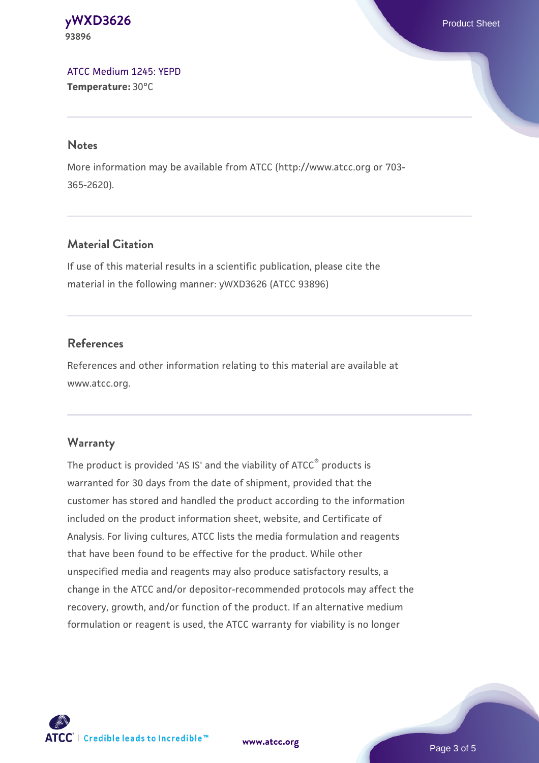#### **[yWXD3626](https://www.atcc.org/products/93896)** Product Sheet **93896**

[ATCC Medium 1245: YEPD](https://www.atcc.org/-/media/product-assets/documents/microbial-media-formulations/1/2/4/5/atcc-medium-1245.pdf?rev=705ca55d1b6f490a808a965d5c072196) **Temperature:** 30°C

#### **Notes**

More information may be available from ATCC (http://www.atcc.org or 703- 365-2620).

## **Material Citation**

If use of this material results in a scientific publication, please cite the material in the following manner: yWXD3626 (ATCC 93896)

## **References**

References and other information relating to this material are available at www.atcc.org.

## **Warranty**

The product is provided 'AS IS' and the viability of ATCC® products is warranted for 30 days from the date of shipment, provided that the customer has stored and handled the product according to the information included on the product information sheet, website, and Certificate of Analysis. For living cultures, ATCC lists the media formulation and reagents that have been found to be effective for the product. While other unspecified media and reagents may also produce satisfactory results, a change in the ATCC and/or depositor-recommended protocols may affect the recovery, growth, and/or function of the product. If an alternative medium formulation or reagent is used, the ATCC warranty for viability is no longer



**[www.atcc.org](http://www.atcc.org)**

Page 3 of 5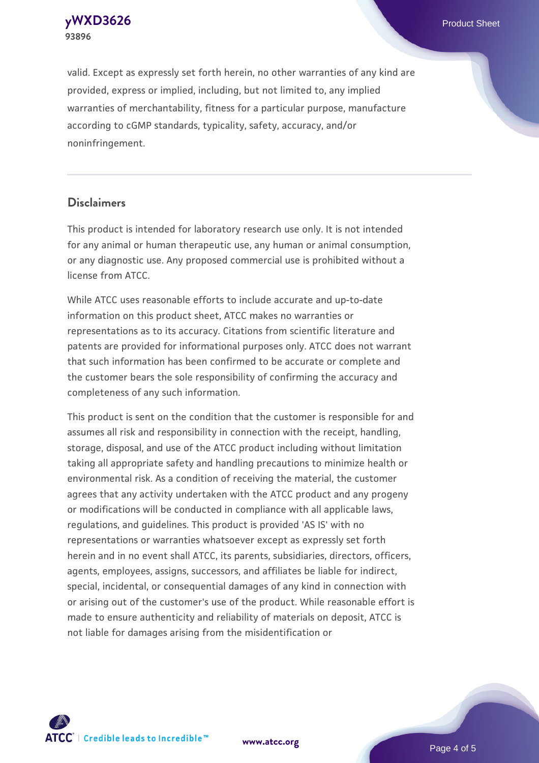**[yWXD3626](https://www.atcc.org/products/93896)** Product Sheet **93896**

valid. Except as expressly set forth herein, no other warranties of any kind are provided, express or implied, including, but not limited to, any implied warranties of merchantability, fitness for a particular purpose, manufacture according to cGMP standards, typicality, safety, accuracy, and/or noninfringement.

#### **Disclaimers**

This product is intended for laboratory research use only. It is not intended for any animal or human therapeutic use, any human or animal consumption, or any diagnostic use. Any proposed commercial use is prohibited without a license from ATCC.

While ATCC uses reasonable efforts to include accurate and up-to-date information on this product sheet, ATCC makes no warranties or representations as to its accuracy. Citations from scientific literature and patents are provided for informational purposes only. ATCC does not warrant that such information has been confirmed to be accurate or complete and the customer bears the sole responsibility of confirming the accuracy and completeness of any such information.

This product is sent on the condition that the customer is responsible for and assumes all risk and responsibility in connection with the receipt, handling, storage, disposal, and use of the ATCC product including without limitation taking all appropriate safety and handling precautions to minimize health or environmental risk. As a condition of receiving the material, the customer agrees that any activity undertaken with the ATCC product and any progeny or modifications will be conducted in compliance with all applicable laws, regulations, and guidelines. This product is provided 'AS IS' with no representations or warranties whatsoever except as expressly set forth herein and in no event shall ATCC, its parents, subsidiaries, directors, officers, agents, employees, assigns, successors, and affiliates be liable for indirect, special, incidental, or consequential damages of any kind in connection with or arising out of the customer's use of the product. While reasonable effort is made to ensure authenticity and reliability of materials on deposit, ATCC is not liable for damages arising from the misidentification or



**[www.atcc.org](http://www.atcc.org)**

Page 4 of 5